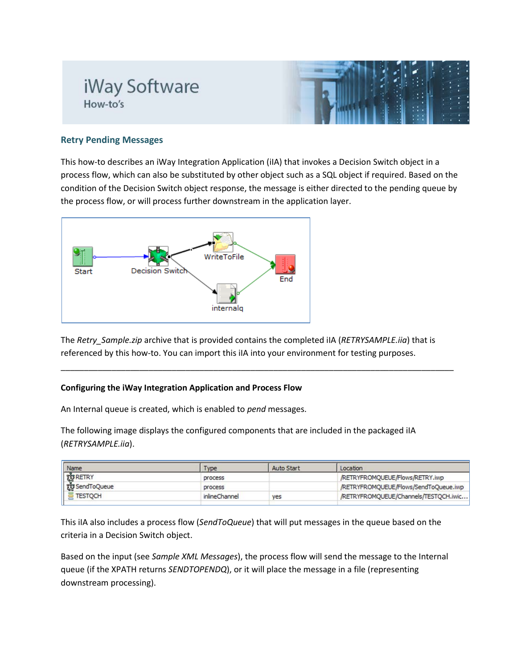## iWay Software How-to's



## **Retry Pending Messages**

This how-to describes an iWay Integration Application (iIA) that invokes a Decision Switch object in a process flow, which can also be substituted by other object such as a SQL object if required. Based on the condition of the Decision Switch object response, the message is either directed to the pending queue by the process flow, or will process further downstream in the application layer.



The *Retry\_Sample.zip* archive that is provided contains the completed iIA (*RETRYSAMPLE.iia*) that is referenced by this how-to. You can import this iIA into your environment for testing purposes.

\_\_\_\_\_\_\_\_\_\_\_\_\_\_\_\_\_\_\_\_\_\_\_\_\_\_\_\_\_\_\_\_\_\_\_\_\_\_\_\_\_\_\_\_\_\_\_\_\_\_\_\_\_\_\_\_\_\_\_\_\_\_\_\_\_\_\_\_\_\_\_\_\_\_\_\_\_\_\_\_\_\_\_\_\_

## **Configuring the iWay Integration Application and Process Flow**

An Internal queue is created, which is enabled to *pend* messages.

The following image displays the configured components that are included in the packaged iIA (*RETRYSAMPLE.iia*).

| Name            | Type          | <b>Auto Start</b> | Location                              |  |
|-----------------|---------------|-------------------|---------------------------------------|--|
| पूरी RETRY      | process       |                   | /RETRYFROMQUEUE/Flows/RETRY.iwp       |  |
| ggs SendToQueue | process       |                   | /RETRYFROMQUEUE/Flows/SendToQueue.iwp |  |
| <b>TESTOCH</b>  | inlineChannel | yes               | /RETRYFROMQUEUE/Channels/TESTQCH.iwic |  |

This iIA also includes a process flow (*SendToQueue*) that will put messages in the queue based on the criteria in a Decision Switch object.

Based on the input (see *Sample XML Messages*), the process flow will send the message to the Internal queue (if the XPATH returns *SENDTOPENDQ*), or it will place the message in a file (representing downstream processing).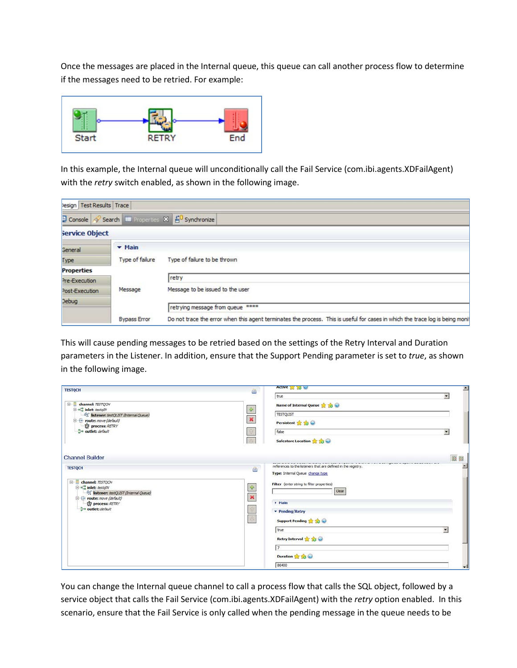Once the messages are placed in the Internal queue, this queue can call another process flow to determine if the messages need to be retried. For example:



In this example, the Internal queue will unconditionally call the Fail Service (com.ibi.agents.XDFailAgent) with the *retry* switch enabled, as shown in the following image.

| lesign   Test Results   Trace |                            |                                                                                                                               |  |
|-------------------------------|----------------------------|-------------------------------------------------------------------------------------------------------------------------------|--|
|                               |                            | D Console Search E Properties X EO Synchronize                                                                                |  |
| Service Object                |                            |                                                                                                                               |  |
| <b>General</b>                | $\blacktriangleright$ Main |                                                                                                                               |  |
| Type                          | Type of failure            | Type of failure to be thrown                                                                                                  |  |
| <b>Properties</b>             |                            |                                                                                                                               |  |
| Pre-Execution                 |                            | retry                                                                                                                         |  |
| Post-Execution                | Message                    | Message to be issued to the user                                                                                              |  |
| Debug                         |                            | retrying message from queue ****                                                                                              |  |
|                               | <b>Bypass Error</b>        | Do not trace the error when this agent terminates the process. This is useful for cases in which the trace log is being monit |  |

This will cause pending messages to be retried based on the settings of the Retry Interval and Duration parameters in the Listener. In addition, ensure that the Support Pending parameter is set to *true*, as shown in the following image.

| <b>TESTQCH</b>                                                                     | 画                  | Active 25 20 Kg                                               | 츼                        |
|------------------------------------------------------------------------------------|--------------------|---------------------------------------------------------------|--------------------------|
|                                                                                    |                    | true                                                          |                          |
| <b>E</b> channel: TESTOCH                                                          |                    | Name of Internal Queue at 18                                  |                          |
| <b>E</b> . <sup>o</sup> inlet: testallV<br>60 listener: testQLIST (Internal Queue) | $\Phi$             | <b>TESTQLIST</b>                                              |                          |
| E toute: move (default)                                                            | $\pmb{\times}$     | Persistent <b>A</b> 10                                        |                          |
| <b>D</b> process: RETRY<br>a outlet: default                                       |                    | false                                                         | $\overline{\phantom{a}}$ |
|                                                                                    | <b>In</b>          | Safestore Location <b>18 18 19</b>                            |                          |
| <b>Channel Builder</b>                                                             |                    |                                                               | 图目                       |
| <b>TESTQCH</b>                                                                     |                    | references to the listeners that are defined in the registry. |                          |
|                                                                                    | 画                  | Type: Internal Queue change type                              |                          |
| $E - E$<br>channel: TESTOCH                                                        |                    | Filter (enter string to filter properties)                    |                          |
| e of inlet: testally<br>6d <sup>e</sup> listener: testQLIST (Internal Queue)       | $\frac{d^2\mu}{2}$ | Clear                                                         |                          |
| E toute: move (default)<br>process: RETRY                                          | $\mathbb{M}$       | <b>F</b> Main                                                 |                          |
| al <sup>o</sup> outlet: default                                                    | n.                 | • Pending/Retry                                               |                          |
|                                                                                    | œ                  | Support Pending to the                                        |                          |
|                                                                                    |                    | true                                                          | $\blacktriangledown$     |
|                                                                                    |                    |                                                               |                          |
|                                                                                    |                    | Retry Interval <b>2 13 @</b>                                  |                          |
|                                                                                    |                    | $\tau$                                                        |                          |
|                                                                                    |                    | Duration & & @                                                |                          |
|                                                                                    |                    | 86400                                                         |                          |

You can change the Internal queue channel to call a process flow that calls the SQL object, followed by a service object that calls the Fail Service (com.ibi.agents.XDFailAgent) with the *retry* option enabled. In this scenario, ensure that the Fail Service is only called when the pending message in the queue needs to be